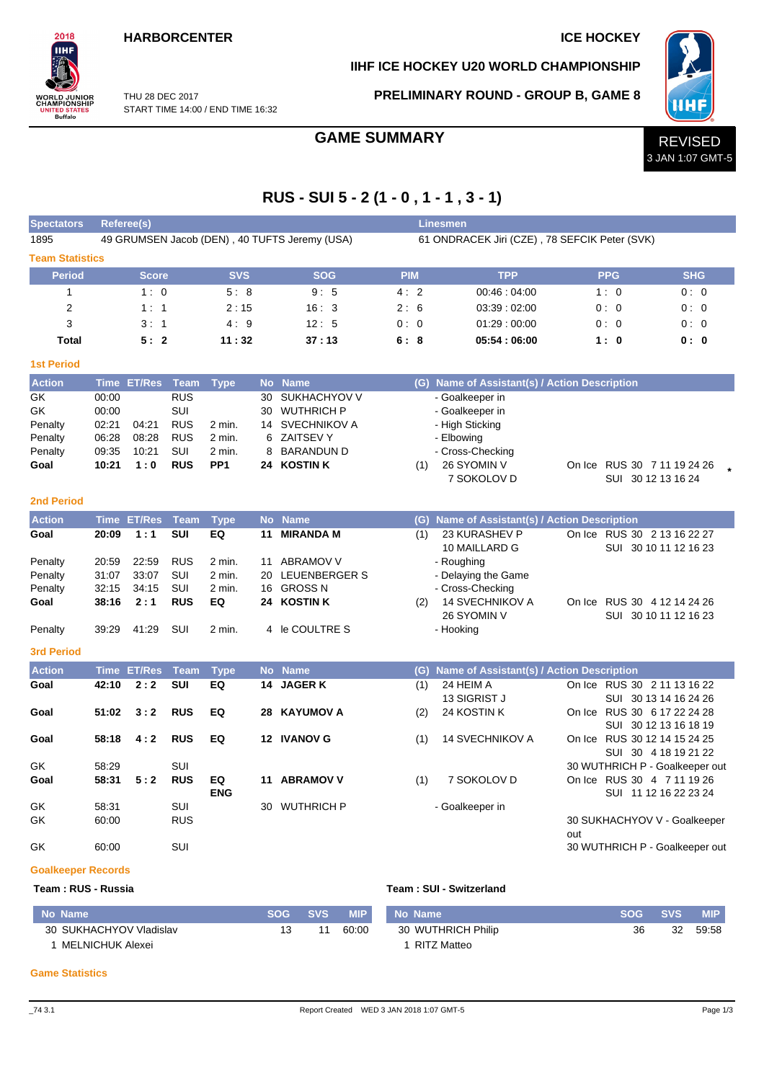## **HARBORCENTER ICE HOCKEY**

## **IIHF ICE HOCKEY U20 WORLD CHAMPIONSHIP**



## **PRELIMINARY ROUND - GROUP B, GAME 8**



THU 28 DEC 2017 START TIME 14:00 / END TIME 16:32

**RUS - SUI 5 - 2 (1 - 0 , 1 - 1 , 3 - 1)**

### **Spectators Referee(s) Linesmen** 1895 49 GRUMSEN Jacob (DEN), 40 TUFTS Jeremy (USA) 61 ONDRACEK Jiri (CZE), 78 SEFCIK Peter (SVK) **Team Statistics Period Score SVS SOG PIM TPP PPG SHG** 1 1 : 0 5 : 8 9 : 5 4 : 2 00:46 : 04:00 1 : 0 0 : 0 2 1 : 1 2 : 15 16 : 3 2 : 6 03:39 : 02:00 0 : 0 0 : 0 3 3 : 1 4 : 9 12 : 5 0 : 0 01:29 : 00:00 0 : 0 0 : 0 **Total 5 : 2 11 : 32 37 : 13 6 : 8 05:54 : 06:00 1 : 0 0 : 0 1st Period Action Time ET/Res Team Type No Name (G) Name of Assistant(s) / Action Description** GK 00:00 RUS 30 SUKHACHYOV V - Goalkeeper in GK 00:00 SUI 30 WUTHRICH P - Goalkeeper in Penalty 02:21 04:21 RUS 2 min. 14 SVECHNIKOV A - High Sticking Penalty 06:28 08:28 RUS 2 min. 6 ZAITSEV Y - Elbowing Penalty 09:35 10:21 SUI 2 min. 8 BARANDUN D - Cross-Checking **Goal 10:21 1 : 0 RUS PP1 24 KOSTIN K 60 11 26 SYOMIN V** 7 SOKOLOV D On Ice RUS 30 7 11 19 24 26 **\*** SUI 30 12 13 16 24 **2nd Period Action Time ET/Res Team Type No Name (G) Name of Assistant(s) / Action Description Goal 20:09 1 : 1 SUI EQ 11 MIRANDA M** (1) 23 KURASHEV P 10 MAILLARD G On Ice RUS 30 2 13 16 22 27 SUI 30 10 11 12 16 23 Penalty 20:59 22:59 RUS 2 min. 11 ABRAMOV V - Roughing Penalty 31:07 33:07 SUI 2 min. 20 LEUENBERGER S - Delaying the Game Penalty 32:15 34:15 SUI 2 min. 16 GROSS N - Cross-Checking **Goal 38:16 2 : 1 RUS EQ 24 KOSTIN K** (2) 14 SVECHNIKOV A 26 SYOMIN V<br>- Hooking On Ice RUS 30 4 12 14 24 26 SUI 30 10 11 12 16 23 Penalty 39:29 41:29 SUI 2 min. 4 le COULTRE S **3rd Period Action Time ET/Res Team Type No Name (G) Name of Assistant(s) / Action Description Goal 42:10 2 : 2 SUI EQ 14 JAGER K** (1) 24 HEIM A 13 SIGRIST J On Ice RUS 30 2 11 13 16 22 SUI 30 13 14 16 24 26 **Goal 51:02 3:2 RUS EQ 28 KAYUMOV A** (2) 24 KOSTIN K On Ice RUS 30 6 17 22 24 28 SUI 30 12 13 16 18 19 **Goal 58:18 4 : 2 RUS EQ 12 IVANOV G** (1) 14 SVECHNIKOV A On Ice RUS 30 12 14 15 24 25 SUI 30 4 18 19 21 22 GK 58:29 SUI 30 WUTHRICH P - Goalkeeper out **Goal 58:31 5 : 2 RUS EQ ENG 11 ABRAMOV V** (1) 7 SOKOLOV D On Ice RUS 30 4 7 11 19 26 SUI 11 12 16 22 23 24 GK 58:31 SUI 30 WUTHRICH P - Goalkeeper in GK 60:00 RUS 60:00 RUS 60:00 RUS 60:00 RUS 50 SUKHACHYOV V - Goalkeeper out GK 60:00 SUI 30 WUTHRICH P - Goalkeeper out **Goalkeeper Records**

### **Team : RUS - Russia Team : SUI - Switzerland**

| No Name                 | SOG SVS | <b>MIP</b> | No Name            | SOG | <b>SVS</b> | <b>MIP</b> |
|-------------------------|---------|------------|--------------------|-----|------------|------------|
| 30 SUKHACHYOV Vladislav | 11      | 60:00      | 30 WUTHRICH Philip | 36  | 32         | 59.58      |
| 1 MELNICHUK Alexei      |         |            | RITZ Matteo        |     |            |            |

### **Game Statistics**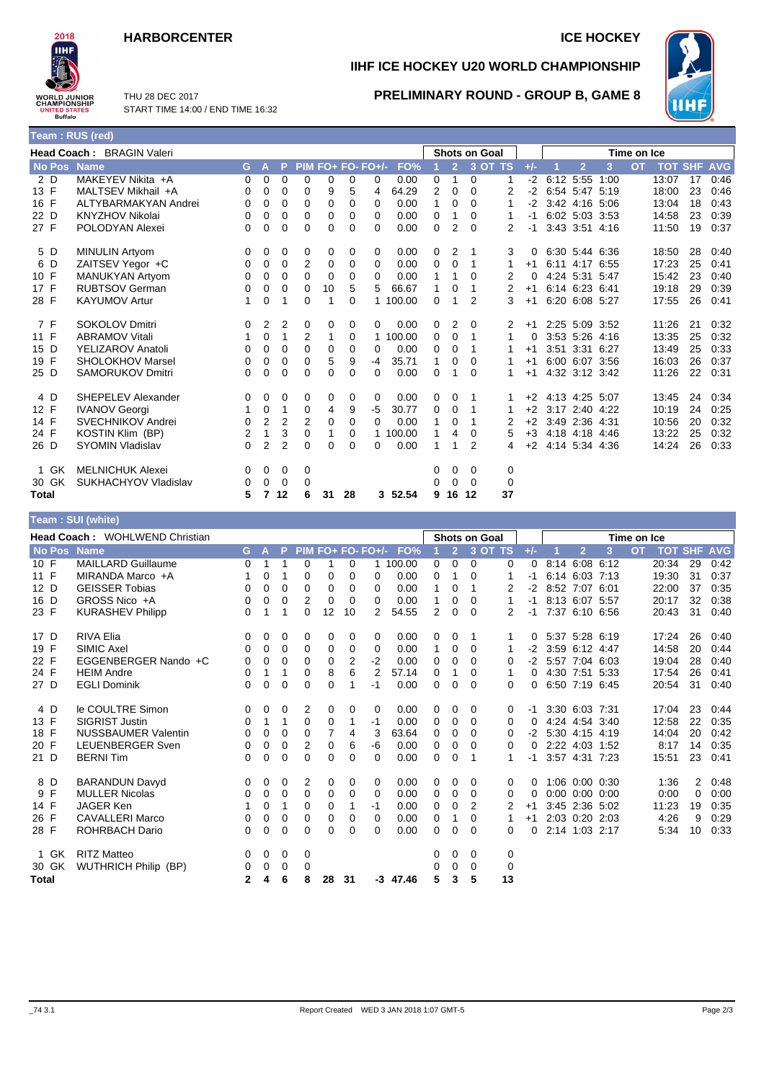# **HARBORCENTER ICE HOCKEY**

 $2018$ **IIHF WORLD JUNIOR**<br>CHAMPIONSHIP **IED STA**<br>Buffalo

THU 28 DEC 2017

# **IIHF ICE HOCKEY U20 WORLD CHAMPIONSHIP**



START TIME 14:00 / END TIME 16:32 **PRELIMINARY ROUND - GROUP B, GAME 8**

| Team: RUS (red) |                           |          |                |                |                |              |          |                   |          |          |                |                      |         |          |                     |                |                |             |                    |    |      |
|-----------------|---------------------------|----------|----------------|----------------|----------------|--------------|----------|-------------------|----------|----------|----------------|----------------------|---------|----------|---------------------|----------------|----------------|-------------|--------------------|----|------|
|                 | Head Coach: BRAGIN Valeri |          |                |                |                |              |          |                   |          |          |                | <b>Shots on Goal</b> |         |          |                     |                |                | Time on Ice |                    |    |      |
| No Pos Name     |                           | G        | A              | P              |                |              |          | PIM FO+ FO- FO+/- | FO%      |          | $\overline{2}$ |                      | 3 OT TS | $+/-$    |                     | $\overline{2}$ | 3              | <b>OT</b>   | <b>TOT SHF AVG</b> |    |      |
| 2 D             | MAKEYEV Nikita +A         | 0        | 0              | 0              | $\mathbf 0$    | 0            | 0        | 0                 | 0.00     | 0        | 1              | 0                    | 1       | $-2$     |                     |                | 6:12 5:55 1:00 |             | 13:07              | 17 | 0:46 |
| 13 F            | MALTSEV Mikhail +A        | 0        | 0              | $\mathbf 0$    | 0              | 9            | 5        | 4                 | 64.29    | 2        | 0              | $\Omega$             | 2       |          | $-2$ 6:54 5:47 5:19 |                |                |             | 18:00              | 23 | 0:46 |
| 16 F            | ALTYBARMAKYAN Andrei      | 0        | 0              | 0              | 0              | 0            | 0        | $\Omega$          | 0.00     | 1        | 0              | $\Omega$             | 1       | $-2$     |                     |                | 3:42 4:16 5:06 |             | 13:04              | 18 | 0:43 |
| 22 D            | KNYZHOV Nikolai           | 0        | 0              | $\mathbf 0$    | 0              | 0            | 0        | 0                 | 0.00     | 0        | 1              | 0                    | 1       | -1       |                     |                | 6:02 5:03 3:53 |             | 14:58              | 23 | 0:39 |
| 27 F            | POLODYAN Alexei           | 0        | $\Omega$       | $\Omega$       | $\Omega$       | $\Omega$     | 0        | 0                 | 0.00     | 0        | 2              | $\Omega$             | 2       | -1       |                     |                | 3:43 3:51 4:16 |             | 11:50              | 19 | 0:37 |
| 5 D             | <b>MINULIN Artyom</b>     | 0        | 0              | 0              | 0              | 0            | 0        | 0                 | 0.00     | 0        | 2              | 1                    | 3       | 0        |                     |                | 6:30 5:44 6:36 |             | 18:50              | 28 | 0:40 |
| 6 D             | ZAITSEV Yegor +C          | 0        | 0              | 0              | 2              | 0            | 0        | 0                 | 0.00     | 0        | 0              | 1                    | 1       | $+1$     | 6:11                |                | 4:17 6:55      |             | 17:23              | 25 | 0:41 |
| 10 F            | <b>MANUKYAN Artyom</b>    | 0        | 0              | $\mathbf 0$    | 0              | 0            | 0        | 0                 | 0.00     | 1        | 1              | $\Omega$             | 2       | $\Omega$ |                     |                | 4:24 5:31 5:47 |             | 15:42              | 23 | 0:40 |
| 17 F            | <b>RUBTSOV German</b>     | 0        | 0              | $\mathbf 0$    | $\mathbf 0$    | 10           | 5        | 5                 | 66.67    | 1        | 0              | 1                    | 2       | $+1$     |                     | 6:14 6:23 6:41 |                |             | 19:18              | 29 | 0:39 |
| 28 F            | <b>KAYUMOV Artur</b>      | 1        | 0              | 1              | $\Omega$       | 1            | $\Omega$ |                   | 1 100.00 | 0        | 1              | 2                    | 3       | $+1$     |                     |                | 6:20 6:08 5:27 |             | 17:55              | 26 | 0:41 |
| 7 F             | <b>SOKOLOV Dmitri</b>     | 0        | 2              | 2              | 0              | 0            | 0        | 0                 | 0.00     | 0        | 2              | $\Omega$             | 2       | $+1$     |                     |                | 2:25 5:09 3:52 |             | 11:26              | 21 | 0:32 |
| 11 F            | <b>ABRAMOV Vitali</b>     | 1        | 0              | 1              | 2              | $\mathbf{1}$ | 0        |                   | 1 100.00 | 0        | 0              | 1                    | 1       |          |                     |                | 3:53 5:26 4:16 |             | 13:35              | 25 | 0:32 |
| 15 D            | YELIZAROV Anatoli         | 0        | 0              | $\mathbf 0$    | $\mathbf 0$    | 0            | 0        | 0                 | 0.00     | 0        | 0              | 1                    | 1       | $+1$     |                     |                | 3:51 3:31 6:27 |             | 13:49              | 25 | 0:33 |
| 19 F            | <b>SHOLOKHOV Marsel</b>   | 0        | 0              | $\mathbf 0$    | 0              | 5            | 9        | $-4$              | 35.71    | 1        | 0              | 0                    | 1       | $+1$     |                     |                | 6:00 6:07 3:56 |             | 16:03              | 26 | 0:37 |
| 25 D            | <b>SAMORUKOV Dmitri</b>   | $\Omega$ | $\Omega$       | $\Omega$       | $\Omega$       | $\Omega$     | $\Omega$ | 0                 | 0.00     | $\Omega$ |                | $\Omega$             | 1       | $+1$     |                     |                | 4:32 3:12 3:42 |             | 11:26              | 22 | 0:31 |
| 4 D             | <b>SHEPELEV Alexander</b> | 0        | 0              | 0              | 0              | 0            | 0        | 0                 | 0.00     | 0        | 0              | 1                    | 1       | $+2$     |                     |                | 4:13 4:25 5:07 |             | 13:45              | 24 | 0:34 |
| 12 F            | <b>IVANOV Georgi</b>      |          | 0              | 1              | 0              | 4            | 9        | -5                | 30.77    | 0        | 0              | 1                    | 1       | $+2$     |                     |                | 3:17 2:40 4:22 |             | 10:19              | 24 | 0:25 |
| 14 F            | <b>SVECHNIKOV Andrei</b>  | 0        | $\overline{2}$ | $\overline{2}$ | $\overline{2}$ | 0            | $\Omega$ | $\Omega$          | 0.00     | 1        | 0              | 1                    | 2       | $+2$     | 3:49 2:36 4:31      |                |                |             | 10:56              | 20 | 0:32 |
| 24 F            | KOSTIN Klim (BP)          | 2        | 1              | 3              | 0              | 1            | 0        |                   | 1 100.00 | 1        | 4              | 0                    | 5       | $+3$     |                     |                | 4:18 4:18 4:46 |             | 13:22              | 25 | 0:32 |
| 26 D            | <b>SYOMIN Vladislav</b>   | 0        | $\overline{2}$ | $\overline{2}$ | $\mathbf 0$    | 0            | 0        | 0                 | 0.00     | 1        | 1              | $\overline{2}$       | 4       | $+2$     |                     |                | 4:14 5:34 4:36 |             | 14:24              | 26 | 0:33 |
| 1 GK            | <b>MELNICHUK Alexei</b>   | 0        | 0              | 0              | 0              |              |          |                   |          | 0        | 0              | 0                    | 0       |          |                     |                |                |             |                    |    |      |
| 30 GK           | SUKHACHYOV Vladislav      | 0        | 0              | 0              | 0              |              |          |                   |          | 0        | 0              | 0                    | 0       |          |                     |                |                |             |                    |    |      |
| Total           |                           | 5        | $\overline{7}$ | 12             | 6              | 31           | 28       |                   | 3 52.54  | 9        | 16             | 12                   | 37      |          |                     |                |                |             |                    |    |      |
|                 | Team: SUI (white)         |          |                |                |                |              |          |                   |          |          |                |                      |         |          |                     |                |                |             |                    |    |      |

|              | Head Coach: WOHLWEND Christian |              |   |          |          |    |    |                   |            |          |                | <b>Shots on Goal</b> |          |          | Time on Ice |                      |   |           |                |                |            |
|--------------|--------------------------------|--------------|---|----------|----------|----|----|-------------------|------------|----------|----------------|----------------------|----------|----------|-------------|----------------------|---|-----------|----------------|----------------|------------|
| No Pos Name  |                                | G.           | A | P        |          |    |    | PIM FO+ FO- FO+/- | FO%        |          | $\overline{2}$ |                      | 3 OT TS  | $+/-$    |             | $\overline{2}$       | 3 | <b>OT</b> | <b>TOT SHF</b> |                | <b>AVG</b> |
| 10 F         | <b>MAILLARD Guillaume</b>      | 0            | 1 |          | 0        |    | 0  |                   | 1 100.00   | 0        | $\mathbf 0$    | $\Omega$             | $\Omega$ | $\Omega$ | 8:14        | 6:08 6:12            |   |           | 20:34          | 29             | 0:42       |
| 11 F         | MIRANDA Marco +A               |              | 0 |          | 0        | 0  | 0  | 0                 | 0.00       | 0        | 1              | $\Omega$             |          | -1       | 6:14        | 6:03 7:13            |   |           | 19:30          | 31             | 0:37       |
| 12 D         | <b>GEISSER Tobias</b>          | 0            | 0 | 0        | $\Omega$ | 0  | 0  | 0                 | 0.00       |          | 0              |                      | 2        | $-2$     |             | 8:52 7:07 6:01       |   |           | 22:00          | 37             | 0:35       |
| 16 D         | GROSS Nico +A                  | 0            | 0 | 0        | 2        | 0  | 0  | $\Omega$          | 0.00       |          | 0              | 0                    | 1        | $-1$     |             | 8:13 6:07 5:57       |   |           | 20:17          | 32             | 0:38       |
| 23 F         | <b>KURASHEV Philipp</b>        | 0            | 1 |          | 0        | 12 | 10 | 2                 | 54.55      | 2        | 0              | $\Omega$             | 2        | -1       |             | 7:37 6:10 6:56       |   |           | 20:43          | 31             | 0:40       |
| 17 D         | <b>RIVA Elia</b>               | 0            | 0 | 0        | 0        | 0  | 0  | $\Omega$          | 0.00       | 0        | 0              |                      |          | 0        |             | 5:37 5:28 6:19       |   |           | 17:24          | 26             | 0:40       |
| 19 F         | SIMIC Axel                     | 0            | 0 | $\Omega$ | 0        | 0  | 0  | 0                 | 0.00       | 1        | 0              | $\Omega$             |          | $-2$     |             | 3:59 6:12 4:47       |   |           | 14:58          | 20             | 0:44       |
| 22 F         | EGGENBERGER Nando +C           | 0            | 0 | $\Omega$ | $\Omega$ | 0  | 2  | $-2$              | 0.00       | 0        | 0              | $\Omega$             | 0        | $-2$     |             | 5:57 7:04 6:03       |   |           | 19:04          | 28             | 0:40       |
| 24 F         | <b>HEIM Andre</b>              | 0            | 1 |          | 0        | 8  | 6  | 2                 | 57.14      | 0        | 1              | 0                    |          | 0        |             | 4:30 7:51 5:33       |   |           | 17:54          | 26             | 0:41       |
| 27 D         | <b>EGLI Dominik</b>            | 0            | 0 | 0        | 0        | 0  | 1  | $-1$              | 0.00       | $\Omega$ | 0              | 0                    | 0        | 0        |             | 6:50 7:19 6:45       |   |           | 20:54          | 31             | 0:40       |
| 4 D          | le COULTRE Simon               | 0            | 0 | 0        | 2        | 0  | 0  | 0                 | 0.00       | 0        | 0              | 0                    | 0        | -1       |             | 3:30 6:03 7:31       |   |           | 17:04          | 23             | 0:44       |
| 13 F         | <b>SIGRIST Justin</b>          | 0            | 1 |          | 0        | 0  | 1  | $-1$              | 0.00       | 0        | 0              | $\Omega$             | 0        | 0        |             | 4:24 4:54 3:40       |   |           | 12:58          | 22             | 0:35       |
| 18 F         | <b>NUSSBAUMER Valentin</b>     | 0            | 0 | 0        | $\Omega$ | 7  | 4  | 3                 | 63.64      | 0        | 0              | $\Omega$             | 0        | $-2$     |             | 5:30 4:15 4:19       |   |           | 14:04          | 20             | 0:42       |
| 20 F         | LEUENBERGER Sven               | 0            | 0 | 0        | 2        | 0  | 6  | -6                | 0.00       | 0        | 0              | 0                    | 0        | $\Omega$ |             | 2:22 4:03 1:52       |   |           | 8:17           | 14             | 0:35       |
| 21 D         | <b>BERNI Tim</b>               | 0            | 0 | 0        | $\Omega$ | 0  | 0  | $\Omega$          | 0.00       | 0        | 0              |                      |          | -1       |             | 3:57 4:31 7:23       |   |           | 15:51          | 23             | 0:41       |
| 8 D          | <b>BARANDUN Davyd</b>          | 0            | 0 | 0        | 2        | 0  | 0  | 0                 | 0.00       | 0        | 0              | 0                    | 0        | 0        |             | 1:06 0:00 0:30       |   |           | 1:36           | $\overline{2}$ | 0:48       |
| 9 F          | <b>MULLER Nicolas</b>          | 0            | 0 | 0        | 0        | 0  | 0  | $\Omega$          | 0.00       | 0        | 0              | $\Omega$             | 0        | 0        |             | $0:00$ $0:00$ $0:00$ |   |           | 0:00           | $\Omega$       | 0:00       |
| 14 F         | <b>JAGER Ken</b>               |              | 0 |          | 0        | 0  | 1  | $-1$              | 0.00       | 0        | 0              | 2                    | 2        | $+1$     |             | 3:45 2:36 5:02       |   |           | 11:23          | 19             | 0:35       |
| 26 F         | <b>CAVALLERI Marco</b>         | 0            | 0 | 0        | 0        | 0  | 0  | $\Omega$          | 0.00       | 0        | 1              | 0                    |          | $+1$     |             | 2:03 0:20 2:03       |   |           | 4:26           | 9              | 0:29       |
| 28 F         | <b>ROHRBACH Dario</b>          | 0            | 0 | 0        | 0        | 0  | 0  | $\Omega$          | 0.00       | 0        | 0              | 0                    | 0        | 0        |             | 2:14 1:03 2:17       |   |           | 5:34           | 10             | 0:33       |
| 1 GK         | <b>RITZ Matteo</b>             | 0            | 0 | 0        | 0        |    |    |                   |            | 0        | 0              | 0                    | 0        |          |             |                      |   |           |                |                |            |
| 30 GK        | <b>WUTHRICH Philip (BP)</b>    | 0            | 0 | 0        | 0        |    |    |                   |            | 0        | 0              | 0                    | 0        |          |             |                      |   |           |                |                |            |
| <b>Total</b> |                                | $\mathbf{2}$ | 4 | 6        | 8        | 28 | 31 |                   | $-3$ 47.46 | 5        | 3              | 5                    | 13       |          |             |                      |   |           |                |                |            |